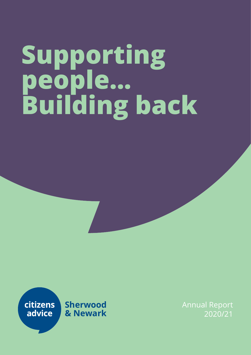# **Supporting people... Building back**



Annual Report 2020/21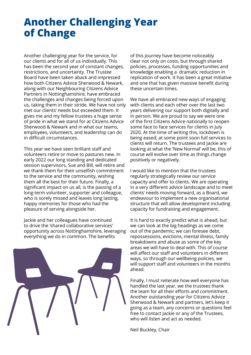# **Another Challenging Year of Change**

Another challenging year for the service, for our clients and for all of us individually. This has been the second year of constant changes, restrictions, and uncertainty. The Trustee Board have been taken aback and impressed how both Citizens Advice Sherwood & Newark, along with our Neighbouring Citizens Advice Partners in Nottinghamshire, have embraced the challenges and changes being forced upon us, taking them in their stride. We have not only met our clients' needs but exceeded them. It gives me and my fellow trustees a huge sense of pride in what we stand for at Citizens Advice Sherwood & Newark and in what our teams, employees, volunteers, and leadership can do in difficult circumstances.

This year we have seen brilliant staff and volunteers retire or move to pastures new. In early 2022 our long standing and dedicated session supervisors, Sue and Bill, will retire and we thank them for their unselfish commitment to the service and the community, wishing them all the best for their future. Finally, a significant impact on us all, is the passing of a long-term volunteer, supporter and colleague, who is sorely missed and leaves long lasting, happy memories for those who had the pleasure of serving alongside her.

Jackie and her colleagues have continued to drive the 'shared collaborative services' opportunity across Nottinghamshire, leveraging everything we do in common. The benefits



of this journey have become noticeably clear not only on costs, but through shared policies, processes, funding opportunities and knowledge enabling a dramatic reduction in replication of work. It has been a great initiative and one that has given massive benefit during these uncertain times.

We have all embraced new ways of engaging with clients and each other over the last two years delivering our support both digitally and in person. We are proud to say we were one of the first Citizens Advice nationally to reopen some face to face services for clients in July 2020. At the time of writing this, lockdown is being eased; at some point soon full services to clients will return. The trustees and Jackie are looking at what the 'New Normal' will be, this of course will evolve over time as things change positively or negatively.

I would like to mention that the trustees regularly strategically review our service capacity and offer to clients. We are operating in a very different advice landscape and to meet clients' needs moving forward, as a Board, we endeavour to implement a new organisational structure that will allow development including capacity for fundraising and engagement.

It is hard to exactly predict what is ahead, but we can look at the big headings as we come out of the pandemic; we can foresee debt, repossessions, evictions, mental illness, family breakdowns and abuse as some of the key areas we will have to deal with. This of course will affect our staff and volunteers in different ways, so through our wellbeing policies, we will support staff and volunteers in the months ahead.

Finally, I must reiterate how well everyone has handled the last year, we the trustees thank the team for all their efforts and commitment. Another outstanding year for Citizens Advice Sherwood & Newark and partners, let's keep it going as a team, any concerns or questions feel free to contact Jackie or any of the Trustees, who will listen and act as needed.

Neil Buckley, Chair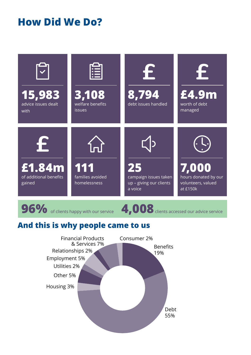# **How Did We Do?**



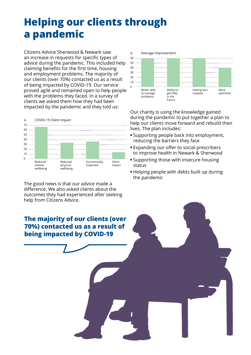# **Helping our clients through a pandemic**

Citizens Advice Sherwood & Newark saw an increase in requests for specific types of advice during the pandemic. This included help claiming benefits for the first time, housing and employment problems. The majority of our clients (over 70%) contacted us as a result of being impacted by COVID-19. Our service proved agile and remained open to help people with the problems they faced. In a survey of clients we asked them how they had been impacted by the pandemic and they told us:



The good news is that our advice made a difference. We also asked clients about the outcomes they had experienced after seeking help from Citizens Advice.



Our charity is using the knowledge gained during the pandemic to put together a plan to help our clients move forward and rebuild their lives. The plan includes:

- **•** Supporting people back into employment, reducing the barriers they face
- **•** Expanding our offer to social prescribers to improve health in Newark & Sherwood
- **•** Supporting those with insecure housing status
- **•** Helping people with debts built up during the pandemic

**The majority of our clients (over 70%) contacted us as a result of being impacted by COVID-19**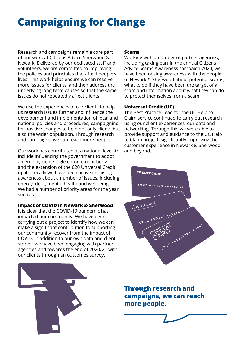# **Campaigning for Change**

Research and campaigns remain a core part of our work at Citizens Advice Sherwood & Newark. Delivered by our dedicated staff and volunteers, we are committed to improving the policies and principles that affect people's lives. This work helps ensure we can resolve more issues for clients, and then address the underlying long-term causes so that the same issues do not repeatedly affect clients.

We use the experiences of our clients to help us research issues further and influence the development and implementation of local and national policies and procedures; campaigning for positive changes to help not only clients but also the wider population. Through research and campaigns, we can reach more people.

Our work has contributed at a national level, to include influencing the government to adopt an employment single enforcement body and the extension of the £20 Universal Credit uplift. Locally we have been active in raising awareness about a number of issues, including energy, debt, mental health and wellbeing. We had a number of priority areas for the year, such as:

### **Impact of COVID in Newark & Sherwood**

It is clear that the COVID-19 pandemic has impacted our community. We have been carrying out a project to identify how we can make a significant contribution to supporting our community recover from the impact of COVID. In addition to our own data and client stories, we have been engaging with partner agencies and towards the end of 2020/21 with our clients through an outcomes survey.

### **Scams**

Working with a number of partner agencies, including taking part in the annual Citizens Advice Scams Awareness campaign 2020, we have been raising awareness with the people of Newark & Sherwood about potential scams, what to do if they have been the target of a scam and information about what they can do to protect themselves from a scam.

### **Universal Credit (UC)**

The Best Practice Lead for the UC Help to Claim service continued to carry out research using our client experiences, our data and networking. Through this we were able to provide support and guidance to the UC Help to Claim project, significantly improving the customer experience in Newark & Sherwood and beyond.



**Through research and campaigns, we can reach more people.**

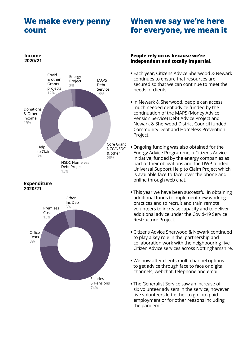### **We make every penny count**

#### Energy Project  $2%$ MAPS Debt Service 19% Core Grant NCC/NSDC & other 28% NSDC Homeless Debt Project 13% Help to Claim 7% Donations & Other income 19% Covid & other Grants projects 12%

### **Expenditure 2020/21**

**Income 2020/21**



### **When we say we're here for everyone, we mean it**

### **People rely on us because we're independent and totally impartial.**

- **•** Each year, Citizens Advice Sherwood & Newark continues to ensure that resources are secured so that we can continue to meet the needs of clients.
- **•** In Newark & Sherwood, people can access much needed debt advice funded by the continuation of the MAPS (Money Advice Pension Service) Debt Advice Project and Newark & Sherwood District Council funded Community Debt and Homeless Prevention Project.
- **•** Ongoing funding was also obtained for the Energy Advice Programme, a Citizens Advice initiative, funded by the energy companies as part of their obligations and the DWP funded Universal Support Help to Claim Project which is available face-to-face, over the phone and online through web chat.
- **•** This year we have been successful in obtaining additional funds to implement new working practices and to recruit and train remote volunteers to increase capacity and to deliver additional advice under the Covid-19 Service Restructure Project.
- **•** Citizens Advice Sherwood & Newark continued to play a key role in the partnership and collaboration work with the neighbouring five Citizen Advice services across Nottinghamshire.
- **•** We now offer clients multi-channel options to get advice through face to face or digital channels, webchat, telephone and email.
- **•** The Generalist Service saw an increase of six volunteer advisers in the service, however five volunteers left either to go into paid employment or for other reasons including the pandemic.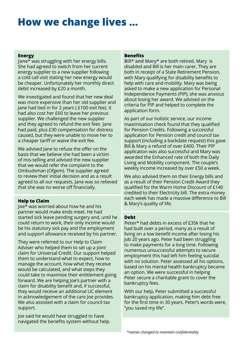# **How we change lives …**

### **Energy**

**Jane**\* was struggling with her energy bills. She had agreed to switch from her current energy supplier to a new supplier following a cold call visit stating her new energy would be cheaper. Unfortunately her monthly direct debit increased by £20 a month.

We investigated and found that her new deal was more expensive than her old supplier and Jane had tied in for 2 years ( £100 exit fee). It had also cost her £60 to leave her previous supplier. We challenged the new supplier and they agreed to refund the exit fees Jane had paid, plus £30 compensation for distress caused, but they were unable to move her to a cheaper tariff or waive the exit fee.

We advised Jane to refuse the offer on the basis that we believe she had been a victim of mis-selling and advised the new supplier that we would refer the complaint to the Ombudsman (Ofgem). The supplier agreed to review their initial decision and as a result agreed to all our requests. Jane was so relieved that she was no worse off financially.

### **Help to Claim**

**Joe**\* was worried about how he and his partner would make ends meet. He had started sick leave pending surgery and, until he could return to work, their only income would be his statutory sick pay and the employment and support allowance received by his partner.

They were referred to our Help to Claim Adviser who helped them to set up a joint claim for Universal Credit. Our support helped them to understand what to expect, how to manage the account, how what they receive would be calculated, and what steps they could take to maximise their entitlement going forward. We are helping Joe's partner with a claim for disability benefit and, if successful, they would receive an additional UC element in acknowledgement of the care Joe provides. We also assisted with a claim for council tax support.

Joe said he would have struggled to have navigated the benefits system without help.

### **Benefits**

**Bill**\* **and Mary**\* are both retired. Mary is disabled and Bill is her main carer. They are both in receipt of a State Retirement Pension, with Mary qualifying for disability benefits to help with care and mobility. Mary was being asked to make a new application for Personal Independence Payments (PIP), she was anxious about losing her award. We advised on the criteria for PIP and helped to complete the application form.

As part of our holistic service, our income maximisation check found that they qualified for Pension Credits. Following a successful application for Pension credit and council tax support (including a backdate request) this gave Bill & Mary a refund of over £400. Their PIP application was also successful and Mary was awarded the Enhanced rate of both the Daily Living and Mobility component. The couple's weekly income increased by over £50 a week.

We also advised them on their Energy bills and as a result of their Pension Credit Award they qualified for the Warm Home Discount of £140 credited to their Electricity bill. The extra money each week has made a massive difference to Bill & Mary's quality of life.

### **Debt**

**Peter**\* had debts in excess of £35k that he had built over a period, many as a result of living on a low benefit income after losing his job 20 years ago. Peter had been struggling to make payments for a long time. Following numerous unsuccessful attempts to secure employment this had left him feeling suicidal with no solution. Peter assessed all his options, based on his mental health bankruptcy became an option. We were successful in helping Peter secure a charitable grant to cover the bankruptcy fees.

With our help, Peter submitted a successful bankruptcy application, making him debt free for the first time in 30 years. Peter's words were, "you saved my life".